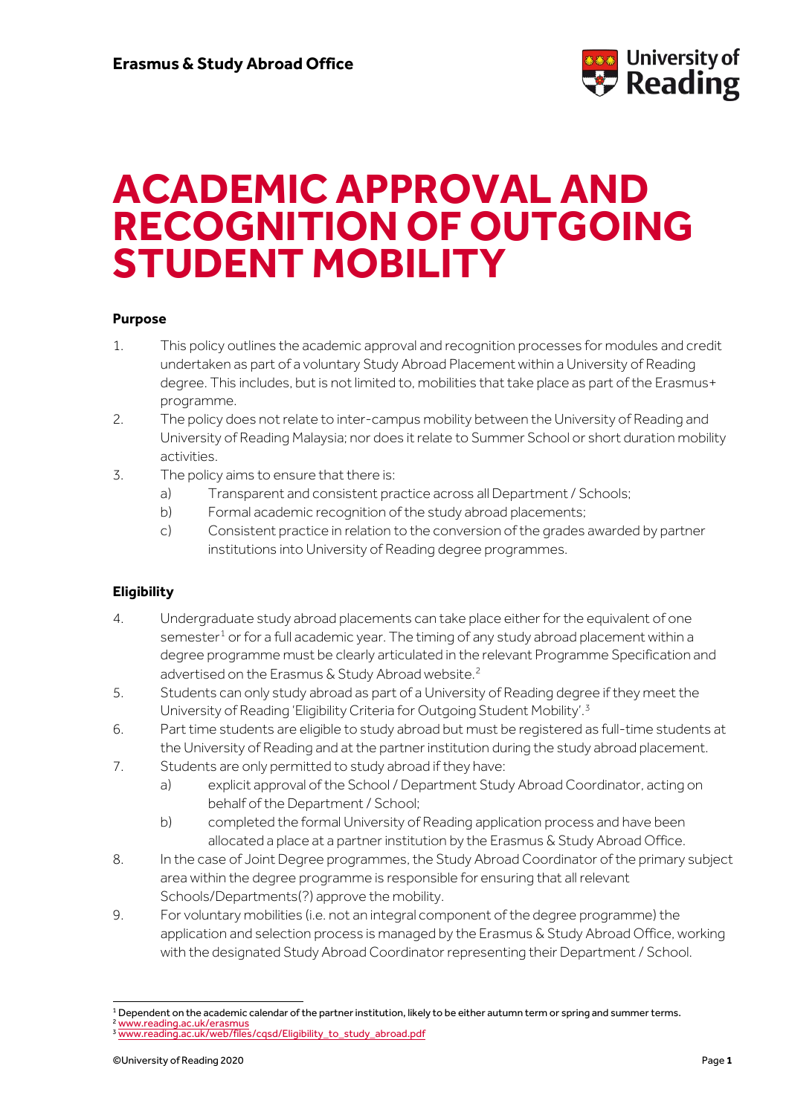

# **ACADEMIC APPROVAL AND RECOGNITION OF OUTGOING STUDENT MOBILITY**

#### **Purpose**

- 1. This policy outlines the academic approval and recognition processes for modules and credit undertaken as part of a voluntary Study Abroad Placement within a University of Reading degree. This includes, but is not limited to, mobilities that take place as part of the Erasmus+ programme.
- 2. The policy does not relate to inter-campus mobility between the University of Reading and University of Reading Malaysia; nor does it relate to Summer School or short duration mobility activities.
- 3. The policy aims to ensure that there is:
	- a) Transparent and consistent practice across all Department / Schools;
	- b) Formal academic recognition of the study abroad placements;
	- c) Consistent practice in relation to the conversion of the grades awarded by partner institutions into University of Reading degree programmes.

## **Eligibility**

- 4. Undergraduate study abroad placements can take place either for the equivalent of one semester<sup>[1](#page-0-0)</sup> or for a full academic year. The timing of any study abroad placement within a degree programme must be clearly articulated in the relevant Programme Specification and advertised on the Erasmus & Study Abroad website.<sup>[2](#page-0-1)</sup>
- 5. Students can only study abroad as part of a University of Reading degree if they meet the University of Reading 'Eligibility Criteria for Outgoing Student Mobility'.<sup>[3](#page-0-2)</sup>
- 6. Part time students are eligible to study abroad but must be registered as full-time students at the University of Reading and at the partner institution during the study abroad placement.
- 7. Students are only permitted to study abroad if they have:
	- a) explicit approval of the School / Department Study Abroad Coordinator, acting on behalf of the Department / School;
	- b) completed the formal University of Reading application process and have been allocated a place at a partner institution by the Erasmus & Study Abroad Office.
- 8. In the case of Joint Degree programmes, the Study Abroad Coordinator of the primary subject area within the degree programme is responsible for ensuring that all relevant Schools/Departments(?) approve the mobility.
- 9. For voluntary mobilities (i.e. not an integral component of the degree programme) the application and selection process is managed by the Erasmus & Study Abroad Office, working with the designated Study Abroad Coordinator representing their Department / School.

<span id="page-0-1"></span><span id="page-0-0"></span><sup>&</sup>lt;sup>1</sup> Dependent on the academic calendar of the partner institution, likely to be either autumn term or spring and summer terms. <sup>2</sup> [www.reading.ac.uk/erasmus](http://www.reading.ac.uk/erasmus)

<span id="page-0-2"></span><sup>&</sup>lt;sup>3</sup> [www.reading.ac.uk/web/files/cqsd/Eligibility\\_to\\_study\\_abroad.pdf](http://www.reading.ac.uk/web/files/cqsd/Eligibility_to_study_abroad.pdf)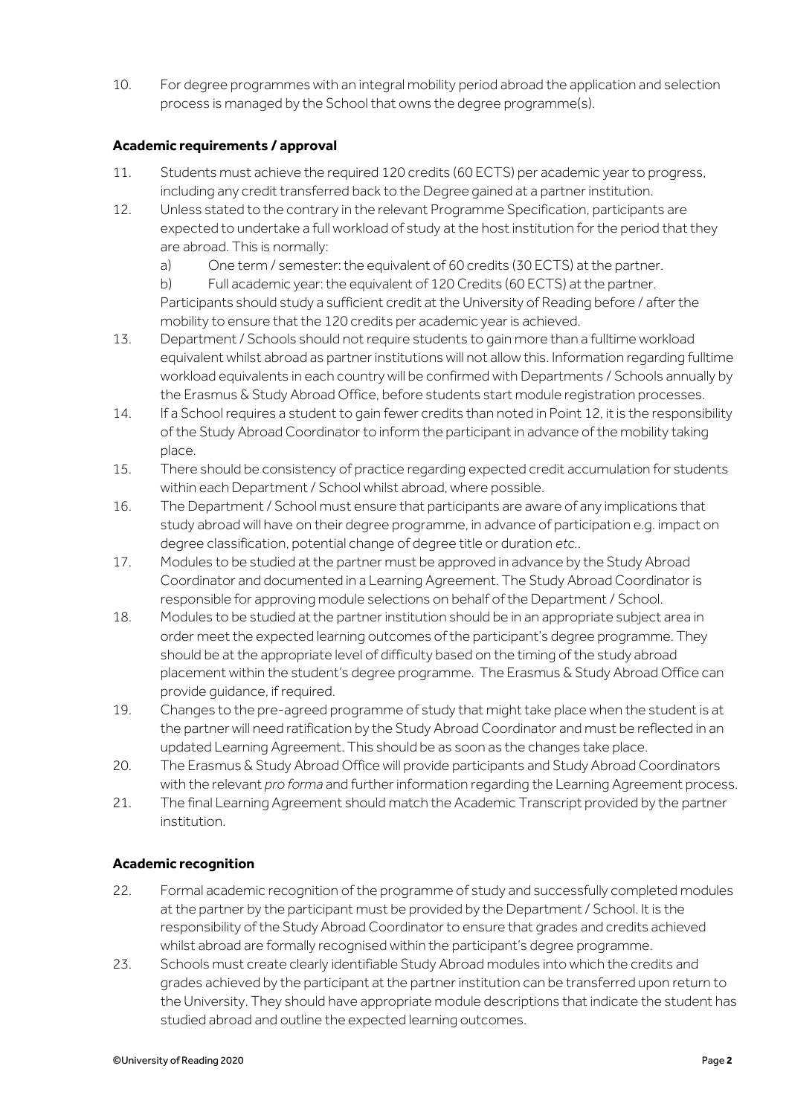10. For degree programmes with an integral mobility period abroad the application and selection process is managed by the School that owns the degree programme(s).

#### **Academic requirements / approval**

- 11. Students must achieve the required 120 credits (60 ECTS) per academic year to progress, including any credit transferred back to the Degree gained at a partner institution.
- 12. Unless stated to the contrary in the relevant Programme Specification, participants are expected to undertake a full workload of study at the host institution for the period that they are abroad. This is normally:
	- a) One term / semester: the equivalent of 60 credits (30 ECTS) at the partner.

b) Full academic year: the equivalent of 120 Credits (60 ECTS) at the partner. Participants should study a sufficient credit at the University of Reading before / after the mobility to ensure that the 120 credits per academic year is achieved.

- 13. Department / Schools should not require students to gain more than a fulltime workload equivalent whilst abroad as partner institutions will not allow this. Information regarding fulltime workload equivalents in each country will be confirmed with Departments / Schools annually by the Erasmus & Study Abroad Office, before students start module registration processes.
- 14. If a School requires a student to gain fewer credits than noted in Point 12, it is the responsibility of the Study Abroad Coordinator to inform the participant in advance of the mobility taking place.
- 15. There should be consistency of practice regarding expected credit accumulation for students within each Department / School whilst abroad, where possible.
- 16. The Department / School must ensure that participants are aware of any implications that study abroad will have on their degree programme, in advance of participation e.g. impact on degree classification, potential change of degree title or duration *etc.*.
- 17. Modules to be studied at the partner must be approved in advance by the Study Abroad Coordinator and documented in a Learning Agreement. The Study Abroad Coordinator is responsible for approving module selections on behalf of the Department / School.
- 18. Modules to be studied at the partner institution should be in an appropriate subject area in order meet the expected learning outcomes of the participant's degree programme. They should be at the appropriate level of difficulty based on the timing of the study abroad placement within the student's degree programme. The Erasmus & Study Abroad Office can provide guidance, if required.
- 19. Changes to the pre-agreed programme of study that might take place when the student is at the partner will need ratification by the Study Abroad Coordinator and must be reflected in an updated Learning Agreement. This should be as soon as the changes take place.
- 20. The Erasmus & Study Abroad Office will provide participants and Study Abroad Coordinators with the relevant *pro forma* and further information regarding the Learning Agreement process.
- 21. The final Learning Agreement should match the Academic Transcript provided by the partner institution.

## **Academic recognition**

- 22. Formal academic recognition of the programme of study and successfully completed modules at the partner by the participant must be provided by the Department / School. It is the responsibility of the Study Abroad Coordinator to ensure that grades and credits achieved whilst abroad are formally recognised within the participant's degree programme.
- 23. Schools must create clearly identifiable Study Abroad modules into which the credits and grades achieved by the participant at the partner institution can be transferred upon return to the University. They should have appropriate module descriptions that indicate the student has studied abroad and outline the expected learning outcomes.